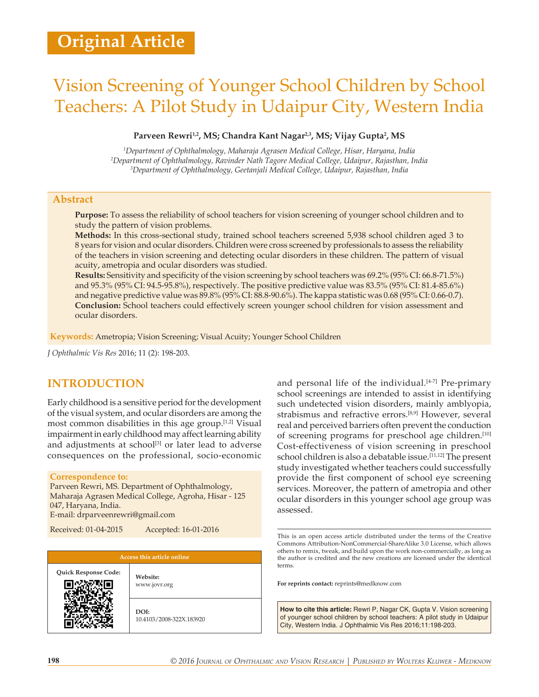# Vision Screening of Younger School Children by School Teachers: A Pilot Study in Udaipur City, Western India

#### Parveen Rewri<sup>1,2</sup>, MS; Chandra Kant Nagar<sup>2,3</sup>, MS; Vijay Gupta<sup>2</sup>, MS

*1 Department of Ophthalmology, Maharaja Agrasen Medical College, Hisar, Haryana, India 2 Department of Ophthalmology, Ravinder Nath Tagore Medical College, Udaipur, Rajasthan, India 3 Department of Ophthalmology, Geetanjali Medical College, Udaipur, Rajasthan, India*

### **Abstract**

**Purpose:** To assess the reliability of school teachers for vision screening of younger school children and to study the pattern of vision problems.

**Methods:** In this cross‑sectional study, trained school teachers screened 5,938 school children aged 3 to 8 years for vision and ocular disorders. Children were cross screened by professionals to assess the reliability of the teachers in vision screening and detecting ocular disorders in these children. The pattern of visual acuity, ametropia and ocular disorders was studied.

**Results:** Sensitivity and specificity of the vision screening by school teachers was 69.2% (95% CI: 66.8‑71.5%) and 95.3% (95% CI: 94.5‑95.8%), respectively. The positive predictive value was 83.5% (95% CI: 81.4‑85.6%) and negative predictive value was 89.8% (95% CI: 88.8‑90.6%). The kappa statistic was 0.68 (95% CI: 0.66‑0.7). **Conclusion:** School teachers could effectively screen younger school children for vision assessment and ocular disorders.

**Keywords:** Ametropia; Vision Screening; Visual Acuity; Younger School Children

*J Ophthalmic Vis Res* 2016; 11 (2): 198-203.

# **INTRODUCTION**

Early childhood is a sensitive period for the development of the visual system, and ocular disorders are among the most common disabilities in this age group.[1,2] Visual impairment in early childhood may affect learning ability and adjustments at school<sup>[3]</sup> or later lead to adverse consequences on the professional, socio‑economic

#### **Correspondence to:**

Parveen Rewri, MS. Department of Ophthalmology, Maharaja Agrasen Medical College, Agroha, Hisar ‑ 125 047, Haryana, India. E‑mail: drparveenrewri@gmail.com

Received: 01-04-2015 Accepted: 16-01-2016

Quick Response Code: **Website:**<br> **EXECUTE:** 

www.jovr.org

**DOI:** 10.4103/2008-322X.183920 and personal life of the individual.<sup>[4-7]</sup> Pre-primary school screenings are intended to assist in identifying such undetected vision disorders, mainly amblyopia, strabismus and refractive errors.[8,9] However, several real and perceived barriers often prevent the conduction of screening programs for preschool age children.<sup>[10]</sup> Cost-effectiveness of vision screening in preschool school children is also a debatable issue.<sup>[11,12]</sup> The present study investigated whether teachers could successfully provide the first component of school eye screening services. Moreover, the pattern of ametropia and other ocular disorders in this younger school age group was assessed.

**For reprints contact:** reprints@medknow.com

**How to cite this article:** Rewri P, Nagar CK, Gupta V. Vision screening of younger school children by school teachers: A pilot study in Udaipur City, Western India. J Ophthalmic Vis Res 2016;11:198-203.

This is an open access article distributed under the terms of the Creative Commons Attribution‑NonCommercial‑ShareAlike 3.0 License, which allows others to remix, tweak, and build upon the work non‑commercially, as long as the author is credited and the new creations are licensed under the identical terms.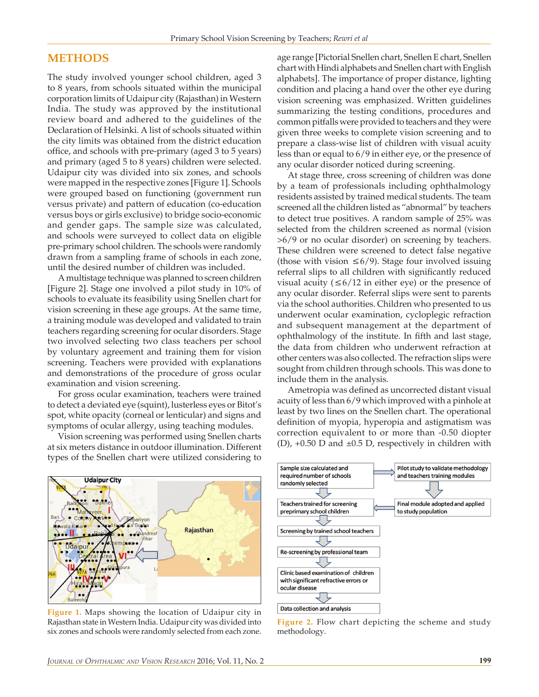# **METHODS**

The study involved younger school children, aged 3 to 8 years, from schools situated within the municipal corporation limits of Udaipur city (Rajasthan) in Western India. The study was approved by the institutional review board and adhered to the guidelines of the Declaration of Helsinki. A list of schools situated within the city limits was obtained from the district education office, and schools with pre‑primary (aged 3 to 5 years) and primary (aged 5 to 8 years) children were selected. Udaipur city was divided into six zones, and schools were mapped in the respective zones [Figure 1]. Schools were grouped based on functioning (government run versus private) and pattern of education (co‑education versus boys or girls exclusive) to bridge socio‑economic and gender gaps. The sample size was calculated, and schools were surveyed to collect data on eligible pre‑primary school children. The schools were randomly drawn from a sampling frame of schools in each zone, until the desired number of children was included.

A multistage technique was planned to screen children [Figure 2]. Stage one involved a pilot study in 10% of schools to evaluate its feasibility using Snellen chart for vision screening in these age groups. At the same time, a training module was developed and validated to train teachers regarding screening for ocular disorders. Stage two involved selecting two class teachers per school by voluntary agreement and training them for vision screening. Teachers were provided with explanations and demonstrations of the procedure of gross ocular examination and vision screening.

For gross ocular examination, teachers were trained to detect a deviated eye (squint), lusterless eyes or Bitot's spot, white opacity (corneal or lenticular) and signs and symptoms of ocular allergy, using teaching modules.

Vision screening was performed using Snellen charts at six meters distance in outdoor illumination. Different types of the Snellen chart were utilized considering to



**Figure 1.** Maps showing the location of Udaipur city in Rajasthan state in Western India. Udaipur city was divided into six zones and schools were randomly selected from each zone.

age range [Pictorial Snellen chart, Snellen E chart, Snellen chart with Hindi alphabets and Snellen chart with English alphabets]. The importance of proper distance, lighting condition and placing a hand over the other eye during vision screening was emphasized. Written guidelines summarizing the testing conditions, procedures and common pitfalls were provided to teachers and they were given three weeks to complete vision screening and to prepare a class‑wise list of children with visual acuity less than or equal to 6/9 in either eye, or the presence of any ocular disorder noticed during screening.

At stage three, cross screening of children was done by a team of professionals including ophthalmology residents assisted by trained medical students. The team screened all the children listed as "abnormal" by teachers to detect true positives. A random sample of 25% was selected from the children screened as normal (vision >6/9 or no ocular disorder) on screening by teachers. These children were screened to detect false negative (those with vision ≤6/9). Stage four involved issuing referral slips to all children with significantly reduced visual acuity ( $\leq 6/12$  in either eye) or the presence of any ocular disorder. Referral slips were sent to parents via the school authorities. Children who presented to us underwent ocular examination, cycloplegic refraction and subsequent management at the department of ophthalmology of the institute. In fifth and last stage, the data from children who underwent refraction at other centers was also collected. The refraction slips were sought from children through schools. This was done to include them in the analysis.

Ametropia was defined as uncorrected distant visual acuity of less than 6/9 which improved with a pinhole at least by two lines on the Snellen chart. The operational definition of myopia, hyperopia and astigmatism was correction equivalent to or more than ‑0.50 diopter (D),  $+0.50$  D and  $\pm 0.5$  D, respectively in children with



**Figure 2.** Flow chart depicting the scheme and study methodology.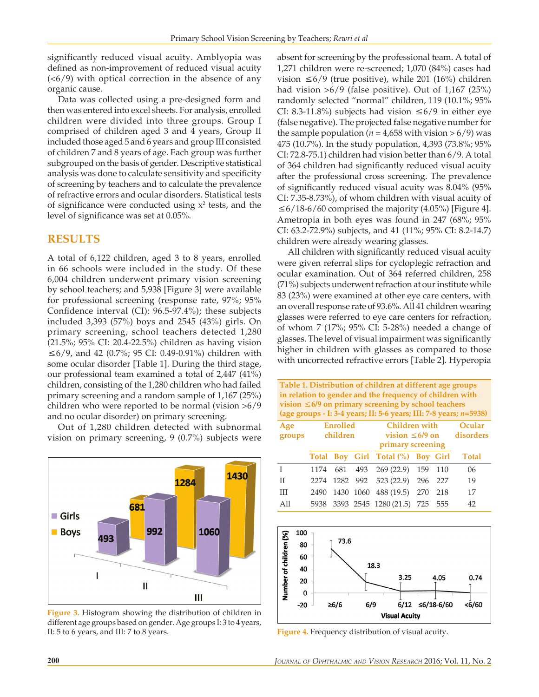significantly reduced visual acuity. Amblyopia was defined as non-improvement of reduced visual acuity  $( $6/9$ ) with optical correction in the absence of any$ organic cause.

Data was collected using a pre-designed form and then was entered into excel sheets. For analysis, enrolled children were divided into three groups. Group I comprised of children aged 3 and 4 years, Group II included those aged 5 and 6 years and group III consisted of children 7 and 8 years of age. Each group was further subgrouped on the basis of gender. Descriptive statistical analysis was done to calculate sensitivity and specificity of screening by teachers and to calculate the prevalence of refractive errors and ocular disorders. Statistical tests of significance were conducted using  $x^2$  tests, and the level of significance was set at 0.05%.

# **RESULTS**

A total of 6,122 children, aged 3 to 8 years, enrolled in 66 schools were included in the study. Of these 6,004 children underwent primary vision screening by school teachers; and 5,938 [Figure 3] were available for professional screening (response rate, 97%; 95% Confidence interval (CI): 96.5‑97.4%); these subjects included 3,393 (57%) boys and 2545 (43%) girls. On primary screening, school teachers detected 1,280 (21.5%; 95% CI: 20.4‑22.5%) children as having vision ≤6/9, and 42 (0.7%; 95 CI: 0.49‑0.91%) children with some ocular disorder [Table 1]. During the third stage, our professional team examined a total of 2,447 (41%) children, consisting of the 1,280 children who had failed primary screening and a random sample of 1,167 (25%) children who were reported to be normal (vision >6/9 and no ocular disorder) on primary screening.

Out of 1,280 children detected with subnormal vision on primary screening, 9 (0.7%) subjects were



**Figure 3.** Histogram showing the distribution of children in different age groups based on gender. Age groups I: 3 to 4 years, II: 5 to 6 years, and III: 7 to 8 years. **Figure 4.** Frequency distribution of visual acuity.

absent for screening by the professional team. A total of 1,271 children were re‑screened; 1,070 (84%) cases had vision ≤6/9 (true positive), while 201 (16%) children had vision  $>6/9$  (false positive). Out of 1,167 (25%) randomly selected "normal" children, 119 (10.1%; 95% CI: 8.3-11.8%) subjects had vision  $\leq 6/9$  in either eye (false negative). The projected false negative number for the sample population ( $n = 4,658$  with vision  $> 6/9$ ) was 475 (10.7%). In the study population, 4,393 (73.8%; 95% CI: 72.8‑75.1) children had vision better than 6/9. A total of 364 children had significantly reduced visual acuity after the professional cross screening. The prevalence of significantly reduced visual acuity was 8.04% (95% CI: 7.35‑8.73%), of whom children with visual acuity of  $≤6/18-6/60$  comprised the majority (4.05%) [Figure 4]. Ametropia in both eyes was found in 247 (68%; 95% CI: 63.2‑72.9%) subjects, and 41 (11%; 95% CI: 8.2‑14.7) children were already wearing glasses.

All children with significantly reduced visual acuity were given referral slips for cycloplegic refraction and ocular examination. Out of 364 referred children, 258 (71%) subjects underwent refraction at our institute while 83 (23%) were examined at other eye care centers, with an overall response rate of 93.6%. All 41 children wearing glasses were referred to eye care centers for refraction, of whom 7 (17%; 95% CI: 5‑28%) needed a change of glasses. The level of visual impairment was significantly higher in children with glasses as compared to those with uncorrected refractive errors [Table 2]. Hyperopia

**Table 1. Distribution of children at different age groups in relation to gender and the frequency of children with vision ≤6/9 on primary screening by school teachers (age groups ‑ I: 3‑4 years; II: 5‑6 years; III: 7‑8 years;** *n***=5938)**

| Age<br>groups | Enrolled<br>children |  | Children with<br>vision $\leq 6/9$ on disorders<br>primary screening |                                    |  | Ocular |              |
|---------------|----------------------|--|----------------------------------------------------------------------|------------------------------------|--|--------|--------------|
|               |                      |  |                                                                      | Total Boy Girl Total (%) Boy Girl  |  |        | <b>Total</b> |
| $\mathbf{I}$  |                      |  |                                                                      | 1174 681 493 269 (22.9) 159 110    |  |        | 06           |
| $\mathbf{H}$  |                      |  |                                                                      | 2274 1282 992 523 (22.9) 296 227   |  |        | 19           |
| Ш             |                      |  |                                                                      | 2490 1430 1060 488 (19.5) 270 218  |  |        | 17           |
| All           |                      |  |                                                                      | 5938 3393 2545 1280 (21.5) 725 555 |  |        | 42           |

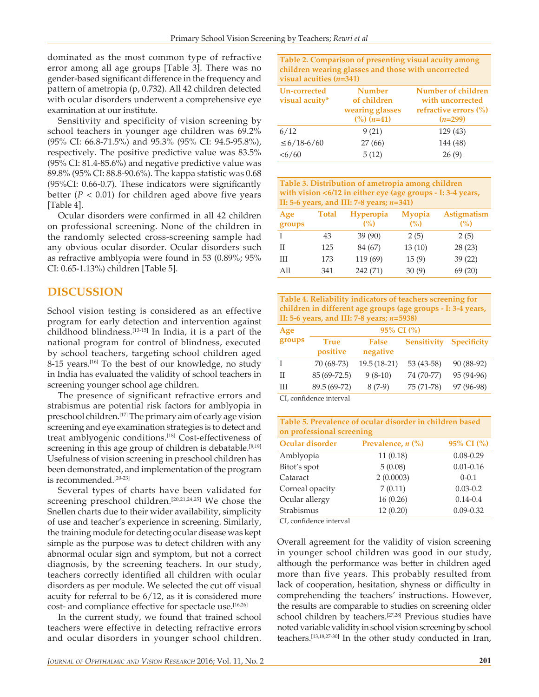dominated as the most common type of refractive error among all age groups [Table 3]. There was no gender‑based significant difference in the frequency and pattern of ametropia (p, 0.732). All 42 children detected with ocular disorders underwent a comprehensive eye examination at our institute.

Sensitivity and specificity of vision screening by school teachers in younger age children was 69.2% (95% CI: 66.8‑71.5%) and 95.3% (95% CI: 94.5‑95.8%), respectively. The positive predictive value was 83.5% (95% CI: 81.4‑85.6%) and negative predictive value was 89.8% (95% CI: 88.8‑90.6%). The kappa statistic was 0.68 (95%CI: 0.66‑0.7). These indicators were significantly better  $(P < 0.01)$  for children aged above five years [Table 4].

Ocular disorders were confirmed in all 42 children on professional screening. None of the children in the randomly selected cross‑screening sample had any obvious ocular disorder. Ocular disorders such as refractive amblyopia were found in 53 (0.89%; 95% CI: 0.65‑1.13%) children [Table 5].

# **DISCUSSION**

School vision testing is considered as an effective program for early detection and intervention against childhood blindness.<sup>[13-15]</sup> In India, it is a part of the national program for control of blindness, executed by school teachers, targeting school children aged 8-15 years.<sup>[16]</sup> To the best of our knowledge, no study in India has evaluated the validity of school teachers in screening younger school age children.

The presence of significant refractive errors and strabismus are potential risk factors for amblyopia in preschool children.[17] The primary aim of early age vision screening and eye examination strategies is to detect and treat amblyogenic conditions.<sup>[18]</sup> Cost-effectiveness of screening in this age group of children is debatable.<sup>[8,19]</sup> Usefulness of vision screening in preschool children has been demonstrated, and implementation of the program is recommended.[20‑23]

Several types of charts have been validated for screening preschool children.<sup>[20,21,24,25]</sup> We chose the Snellen charts due to their wider availability, simplicity of use and teacher's experience in screening. Similarly, the training module for detecting ocular disease was kept simple as the purpose was to detect children with any abnormal ocular sign and symptom, but not a correct diagnosis, by the screening teachers. In our study, teachers correctly identified all children with ocular disorders as per module. We selected the cut off visual acuity for referral to be 6/12, as it is considered more cost- and compliance effective for spectacle use.<sup>[16,26]</sup>

In the current study, we found that trained school teachers were effective in detecting refractive errors and ocular disorders in younger school children. **Table 2. Comparison of presenting visual acuity among children wearing glasses and those with uncorrected visual acuities (***n***=341)**

| Un-corrected<br>visual acuity* | <b>Number</b><br>of children<br>wearing glasses<br>$\binom{0}{0}$ $(n=41)$ | Number of children<br>with uncorrected<br>refractive errors (%)<br>$(n=299)$ |
|--------------------------------|----------------------------------------------------------------------------|------------------------------------------------------------------------------|
| 6/12                           | 9(21)                                                                      | 129(43)                                                                      |
| $≤ 6/18-6/60$                  | 27(66)                                                                     | 144 (48)                                                                     |
| < 6/60                         | 5(12)                                                                      | 26(9)                                                                        |

**Table 3. Distribution of ametropia among children with vision <6/12 in either eye (age groups ‑ I: 3‑4 years, II: 5‑6 years, and III: 7‑8 years;** *n***=341)**

| Age<br>groups | <b>Total</b> | <b>Hyperopia</b><br>(%) | <b>Myopia</b><br>(%) | <b>Astigmatism</b><br>(%) |
|---------------|--------------|-------------------------|----------------------|---------------------------|
|               | 43           | 39(90)                  | 2(5)                 | 2(5)                      |
| H             | 125          | 84 (67)                 | 13(10)               | 28(23)                    |
| Ш             | 173          | 119 (69)                | 15(9)                | 39(22)                    |
| All           | 341          | 242 (71)                | 30(9)                | 69(20)                    |

**Table 4. Reliability indicators of teachers screening for children in different age groups (age groups ‑ I: 3‑4 years, II: 5‑6 years, and III: 7‑8 years;** *n***=5938)**

| Age    | 95% CI (%)              |                          |                    |                    |  |  |
|--------|-------------------------|--------------------------|--------------------|--------------------|--|--|
| groups | <b>True</b><br>positive | <b>False</b><br>negative | <b>Sensitivity</b> | <b>Specificity</b> |  |  |
| T      | 70 (68-73)              | $19.5(18-21)$            | 53 (43-58)         | 90 (88-92)         |  |  |
| П      | 85 (69-72.5)            | $9(8-10)$                | 74 (70-77)         | 95 (94-96)         |  |  |
| Ш      | 89.5 (69-72)            | $8(7-9)$                 | 75 (71-78)         | 97 (96-98)         |  |  |
|        |                         |                          |                    |                    |  |  |

CI, confidence interval

| Table 5. Prevalence of ocular disorder in children based<br>on professional screening |                                    |               |  |  |
|---------------------------------------------------------------------------------------|------------------------------------|---------------|--|--|
| Ocular disorder                                                                       | Prevalence, $n$ $\left(\% \right)$ | 95% CI (%)    |  |  |
| Amblyopia                                                                             | 11(0.18)                           | $0.08 - 0.29$ |  |  |
| Bitot's spot                                                                          | 5(0.08)                            | $0.01 - 0.16$ |  |  |
| Cataract                                                                              | 2(0.0003)                          | $0 - 0.1$     |  |  |
| Corneal opacity                                                                       | 7(0.11)                            | $0.03 - 0.2$  |  |  |
| Ocular allergy                                                                        | 16(0.26)                           | $0.14 - 0.4$  |  |  |
| Strabismus                                                                            | 12(0.20)                           | $0.09 - 0.32$ |  |  |
| CL confidence interval                                                                |                                    |               |  |  |

CI, confidence interval

Overall agreement for the validity of vision screening in younger school children was good in our study, although the performance was better in children aged more than five years. This probably resulted from lack of cooperation, hesitation, shyness or difficulty in comprehending the teachers' instructions. However, the results are comparable to studies on screening older school children by teachers.[27,28] Previous studies have noted variable validity in school vision screening by school teachers.[13,18,27‑30] In the other study conducted in Iran,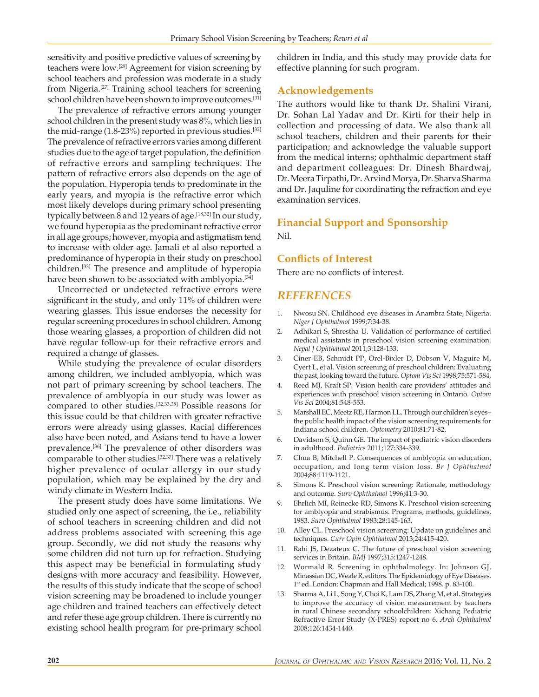sensitivity and positive predictive values of screening by teachers were low.[29] Agreement for vision screening by school teachers and profession was moderate in a study from Nigeria.[27] Training school teachers for screening school children have been shown to improve outcomes.<sup>[31]</sup>

The prevalence of refractive errors among younger school children in the present study was 8%, which lies in the mid-range  $(1.8-23\%)$  reported in previous studies.<sup>[32]</sup> The prevalence of refractive errors varies among different studies due to the age of target population, the definition of refractive errors and sampling techniques. The pattern of refractive errors also depends on the age of the population. Hyperopia tends to predominate in the early years, and myopia is the refractive error which most likely develops during primary school presenting typically between 8 and 12 years of age.<sup>[18,32]</sup> In our study, we found hyperopia as the predominant refractive error in all age groups; however, myopia and astigmatism tend to increase with older age. Jamali et al also reported a predominance of hyperopia in their study on preschool children.[33] The presence and amplitude of hyperopia have been shown to be associated with amblyopia.<sup>[34]</sup>

Uncorrected or undetected refractive errors were significant in the study, and only 11% of children were wearing glasses. This issue endorses the necessity for regular screening procedures in school children. Among those wearing glasses, a proportion of children did not have regular follow-up for their refractive errors and required a change of glasses.

While studying the prevalence of ocular disorders among children, we included amblyopia, which was not part of primary screening by school teachers. The prevalence of amblyopia in our study was lower as compared to other studies.[32,33,35] Possible reasons for this issue could be that children with greater refractive errors were already using glasses. Racial differences also have been noted, and Asians tend to have a lower prevalence.[36] The prevalence of other disorders was comparable to other studies.<sup>[32,37]</sup> There was a relatively higher prevalence of ocular allergy in our study population, which may be explained by the dry and windy climate in Western India.

The present study does have some limitations. We studied only one aspect of screening, the i.e., reliability of school teachers in screening children and did not address problems associated with screening this age group. Secondly, we did not study the reasons why some children did not turn up for refraction. Studying this aspect may be beneficial in formulating study designs with more accuracy and feasibility. However, the results of this study indicate that the scope of school vision screening may be broadened to include younger age children and trained teachers can effectively detect and refer these age group children. There is currently no existing school health program for pre‑primary school children in India, and this study may provide data for effective planning for such program.

## **Acknowledgements**

The authors would like to thank Dr. Shalini Virani, Dr. Sohan Lal Yadav and Dr. Kirti for their help in collection and processing of data. We also thank all school teachers, children and their parents for their participation; and acknowledge the valuable support from the medical interns; ophthalmic department staff and department colleagues: Dr. Dinesh Bhardwaj, Dr. Meera Tirpathi, Dr. Arvind Morya, Dr. Sharva Sharma and Dr. Jaquline for coordinating the refraction and eye examination services.

### **Financial Support and Sponsorship**

Nil.

### **Conflicts of Interest**

There are no conflicts of interest.

# *REFERENCES*

- 1. Nwosu SN. Childhood eye diseases in Anambra State, Nigeria. *Niger J Ophthalmol* 1999;7:34‑38.
- 2. Adhikari S, Shrestha U. Validation of performance of certified medical assistants in preschool vision screening examination. *Nepal J Ophthalmol* 2011;3:128‑133.
- 3. Ciner EB, Schmidt PP, Orel-Bixler D, Dobson V, Maguire M, Cyert L, et al*.* Vision screening of preschool children: Evaluating the past, looking toward the future. *Optom Vis Sci* 1998;75:571‑584.
- 4. Reed MJ, Kraft SP. Vision health care providers' attitudes and experiences with preschool vision screening in Ontario. *Optom Vis Sci* 2004;81:548‑553.
- 5. Marshall EC, Meetz RE, Harmon LL. Through our children's eyes– the public health impact of the vision screening requirements for Indiana school children. *Optometry* 2010;81:71‑82.
- 6. Davidson S, Quinn GE. The impact of pediatric vision disorders in adulthood. *Pediatrics* 2011;127:334‑339.
- 7. Chua B, Mitchell P. Consequences of amblyopia on education, occupation, and long term vision loss. *Br J Ophthalmol* 2004;88:1119‑1121.
- 8. Simons K. Preschool vision screening: Rationale, methodology and outcome. *Surv Ophthalmol* 1996;41:3‑30.
- 9. Ehrlich MI, Reinecke RD, Simons K. Preschool vision screening for amblyopia and strabismus. Programs, methods, guidelines, 1983. *Surv Ophthalmol* 1983;28:145‑163.
- 10. Alley CL. Preschool vision screening: Update on guidelines and techniques. *Curr Opin Ophthalmol* 2013;24:415‑420.
- 11. Rahi JS, Dezateux C. The future of preschool vision screening services in Britain. *BMJ* 1997;315:1247‑1248.
- 12. Wormald R. Screening in ophthalmology. In: Johnson GJ, Minassian DC, Weale R, editors. The Epidemiology of Eye Diseases. 1<sup>st</sup> ed. London: Chapman and Hall Medical; 1998. p. 83-100.
- 13. Sharma A, Li L, Song Y, Choi K, Lam DS, Zhang M, et al*.* Strategies to improve the accuracy of vision measurement by teachers in rural Chinese secondary schoolchildren: Xichang Pediatric Refractive Error Study (X‑PRES) report no 6. *Arch Ophthalmol* 2008;126:1434‑1440.